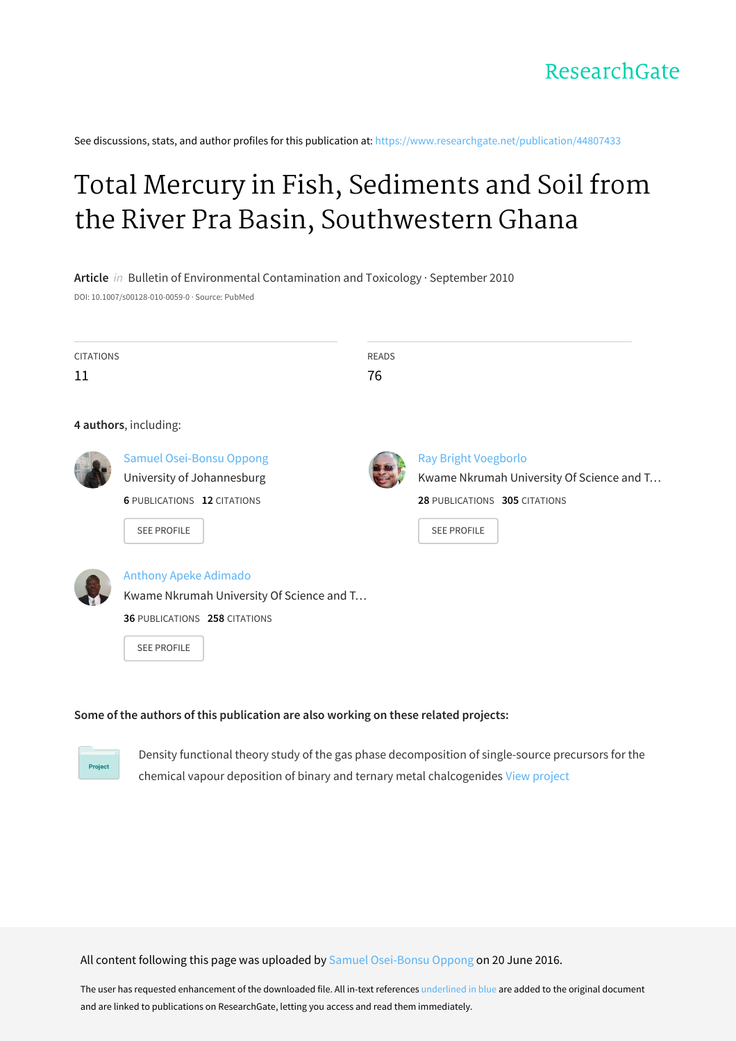See discussions, stats, and author profiles for this publication at: [https://www.researchgate.net/publication/44807433](https://www.researchgate.net/publication/44807433_Total_Mercury_in_Fish_Sediments_and_Soil_from_the_River_Pra_Basin_Southwestern_Ghana?enrichId=rgreq-24a55058c4094e41b3c2b2fd0c4224e0-XXX&enrichSource=Y292ZXJQYWdlOzQ0ODA3NDMzO0FTOjM3NTAyNTM4ODUzOTkwNEAxNDY2NDI0NDI4NDcz&el=1_x_2&_esc=publicationCoverPdf)

# Total Mercury in Fish, Sediments and Soil from the River Pra Basin, [Southwestern](https://www.researchgate.net/publication/44807433_Total_Mercury_in_Fish_Sediments_and_Soil_from_the_River_Pra_Basin_Southwestern_Ghana?enrichId=rgreq-24a55058c4094e41b3c2b2fd0c4224e0-XXX&enrichSource=Y292ZXJQYWdlOzQ0ODA3NDMzO0FTOjM3NTAyNTM4ODUzOTkwNEAxNDY2NDI0NDI4NDcz&el=1_x_3&_esc=publicationCoverPdf) Ghana

### **Article** in Bulletin of Environmental Contamination and Toxicology · September 2010

DOI: 10.1007/s00128-010-0059-0 · Source: PubMed

| <b>CITATIONS</b><br>11 |                                                                                                                                  | <b>READS</b><br>76 |                                                                                                                                 |
|------------------------|----------------------------------------------------------------------------------------------------------------------------------|--------------------|---------------------------------------------------------------------------------------------------------------------------------|
|                        | 4 authors, including:                                                                                                            |                    |                                                                                                                                 |
|                        | <b>Samuel Osei-Bonsu Oppong</b><br>University of Johannesburg<br><b>6 PUBLICATIONS 12 CITATIONS</b><br><b>SEE PROFILE</b>        |                    | <b>Ray Bright Voegborlo</b><br>Kwame Nkrumah University Of Science and T<br>28 PUBLICATIONS 305 CITATIONS<br><b>SEE PROFILE</b> |
|                        | <b>Anthony Apeke Adimado</b><br>Kwame Nkrumah University Of Science and T<br>36 PUBLICATIONS 258 CITATIONS<br><b>SEE PROFILE</b> |                    |                                                                                                                                 |

### **Some of the authors of this publication are also working on these related projects:**



Density functional theory study of the gas phase decomposition of single-source precursors for the chemical vapour deposition of binary and ternary metal chalcogenides View [project](https://www.researchgate.net/project/Density-functional-theory-study-of-the-gas-phase-decomposition-of-single-source-precursors-for-the-chemical-vapour-deposition-of-binary-and-ternary-metal-chalcogenides?enrichId=rgreq-24a55058c4094e41b3c2b2fd0c4224e0-XXX&enrichSource=Y292ZXJQYWdlOzQ0ODA3NDMzO0FTOjM3NTAyNTM4ODUzOTkwNEAxNDY2NDI0NDI4NDcz&el=1_x_9&_esc=publicationCoverPdf)

All content following this page was uploaded by Samuel [Osei-Bonsu](https://www.researchgate.net/profile/Samuel_Oppong6?enrichId=rgreq-24a55058c4094e41b3c2b2fd0c4224e0-XXX&enrichSource=Y292ZXJQYWdlOzQ0ODA3NDMzO0FTOjM3NTAyNTM4ODUzOTkwNEAxNDY2NDI0NDI4NDcz&el=1_x_10&_esc=publicationCoverPdf) Oppong on 20 June 2016.

The user has requested enhancement of the downloaded file. All in-text references underlined in blue are added to the original document and are linked to publications on ResearchGate, letting you access and read them immediately.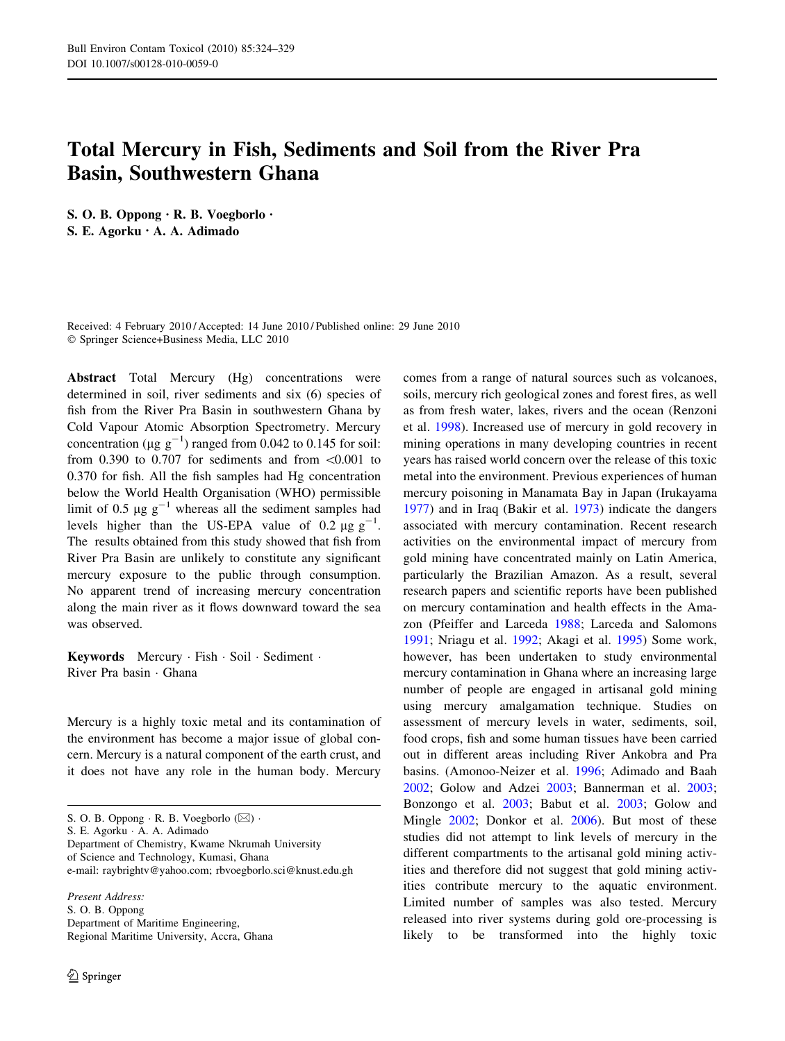## Total Mercury in Fish, Sediments and Soil from the River Pra Basin, Southwestern Ghana

S. O. B. Oppong • R. B. Voegborlo • S. E. Agorku • A. A. Adimado

Received: 4 February 2010 / Accepted: 14 June 2010 / Published online: 29 June 2010 - Springer Science+Business Media, LLC 2010

Abstract Total Mercury (Hg) concentrations were determined in soil, river sediments and six (6) species of fish from the River Pra Basin in southwestern Ghana by Cold Vapour Atomic Absorption Spectrometry. Mercury concentration ( $\mu$ g g<sup>-1</sup>) ranged from 0.042 to 0.145 for soil: from  $0.390$  to  $0.707$  for sediments and from  $\leq 0.001$  to 0.370 for fish. All the fish samples had Hg concentration below the World Health Organisation (WHO) permissible limit of 0.5  $\mu$ g g<sup>-1</sup> whereas all the sediment samples had levels higher than the US-EPA value of 0.2  $\mu$ g g<sup>-1</sup>. The results obtained from this study showed that fish from River Pra Basin are unlikely to constitute any significant mercury exposure to the public through consumption. No apparent trend of increasing mercury concentration along the main river as it flows downward toward the sea was observed.

Keywords Mercury · Fish · Soil · Sediment · River Pra basin - Ghana

Mercury is a highly toxic metal and its contamination of the environment has become a major issue of global concern. Mercury is a natural component of the earth crust, and it does not have any role in the human body. Mercury

S. E. Agorku - A. A. Adimado

Department of Chemistry, Kwame Nkrumah University of Science and Technology, Kumasi, Ghana e-mail: raybrightv@yahoo.com; rbvoegborlo.sci@knust.edu.gh

Present Address: S. O. B. Oppong Department of Maritime Engineering, Regional Maritime University, Accra, Ghana comes from a range of natural sources such as volcanoes, soils, mercury rich geological zones and forest fires, as well as from fresh water, lakes, rivers and the ocean (Renzoni et al. [1998\)](#page-6-0). Increased use of mercury in gold recovery in mining operations in many developing countries in recent years has raised world concern over the release of this toxic metal into the environment. Previous experiences of human mercury poisoning in Manamata Bay in Japan (Irukayama [1977](#page-5-0)) and in Iraq (Bakir et al. [1973](#page-5-0)) indicate the dangers associated with mercury contamination. Recent research activities on the environmental impact of mercury from gold mining have concentrated mainly on Latin America, particularly the Brazilian Amazon. As a result, several research papers and scientific reports have been published on mercury contamination and health effects in the Amazon (Pfeiffer and Larceda [1988;](#page-6-0) Larceda and Salomons [1991](#page-6-0); Nriagu et al. [1992;](#page-6-0) Akagi et al. [1995\)](#page-5-0) Some work, however, has been undertaken to study environmental mercury contamination in Ghana where an increasing large number of people are engaged in artisanal gold mining using mercury amalgamation technique. Studies on assessment of mercury levels in water, sediments, soil, food crops, fish and some human tissues have been carried out in different areas including River Ankobra and Pra basins. (Amonoo-Neizer et al. [1996](#page-5-0); Adimado and Baah [2002](#page-5-0); Golow and Adzei [2003;](#page-5-0) Bannerman et al. [2003](#page-5-0); Bonzongo et al. [2003](#page-5-0); Babut et al. [2003](#page-5-0); Golow and Mingle [2002;](#page-5-0) Donkor et al. [2006](#page-5-0)). But most of these studies did not attempt to link levels of mercury in the different compartments to the artisanal gold mining activities and therefore did not suggest that gold mining activities contribute mercury to the aquatic environment. Limited number of samples was also tested. Mercury released into river systems during gold ore-processing is likely to be transformed into the highly toxic

S. O. B. Oppong  $\cdot$  R. B. Voegborlo ( $\boxtimes$ )  $\cdot$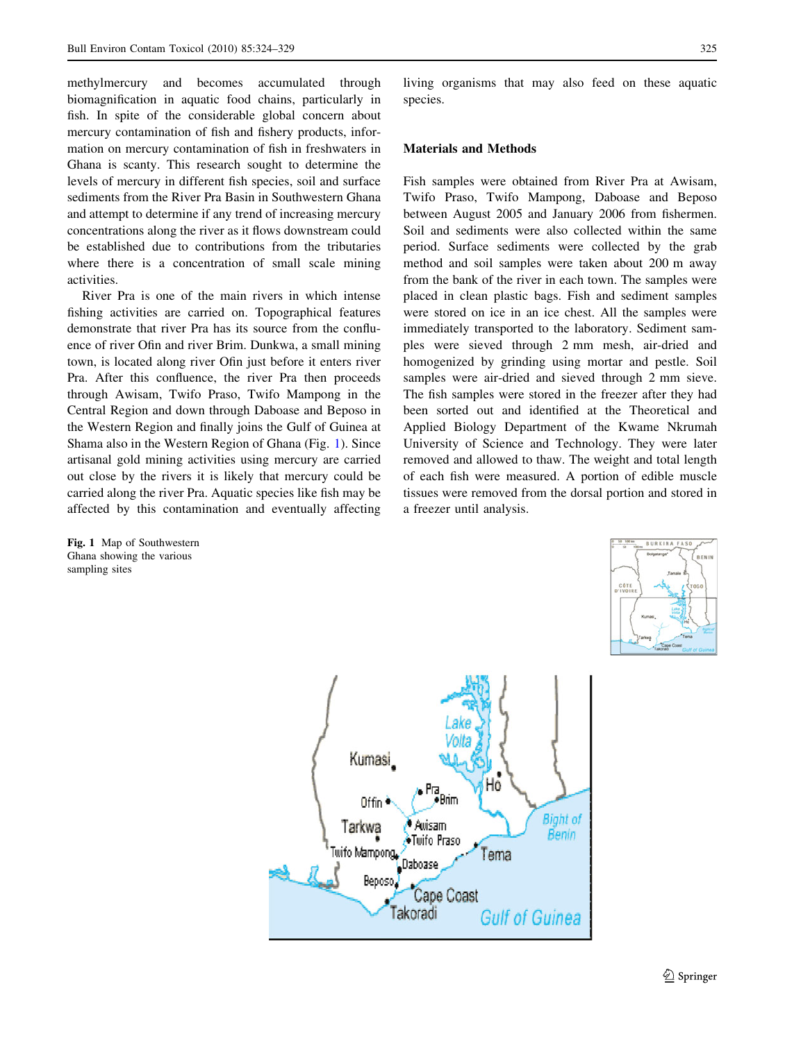methylmercury and becomes accumulated through biomagnification in aquatic food chains, particularly in fish. In spite of the considerable global concern about mercury contamination of fish and fishery products, information on mercury contamination of fish in freshwaters in Ghana is scanty. This research sought to determine the levels of mercury in different fish species, soil and surface sediments from the River Pra Basin in Southwestern Ghana and attempt to determine if any trend of increasing mercury concentrations along the river as it flows downstream could be established due to contributions from the tributaries where there is a concentration of small scale mining activities.

River Pra is one of the main rivers in which intense fishing activities are carried on. Topographical features demonstrate that river Pra has its source from the confluence of river Ofin and river Brim. Dunkwa, a small mining town, is located along river Ofin just before it enters river Pra. After this confluence, the river Pra then proceeds through Awisam, Twifo Praso, Twifo Mampong in the Central Region and down through Daboase and Beposo in the Western Region and finally joins the Gulf of Guinea at Shama also in the Western Region of Ghana (Fig. 1). Since artisanal gold mining activities using mercury are carried out close by the rivers it is likely that mercury could be carried along the river Pra. Aquatic species like fish may be affected by this contamination and eventually affecting

Fig. 1 Map of Southwestern Ghana showing the various sampling sites

living organisms that may also feed on these aquatic species.

### Materials and Methods

Fish samples were obtained from River Pra at Awisam, Twifo Praso, Twifo Mampong, Daboase and Beposo between August 2005 and January 2006 from fishermen. Soil and sediments were also collected within the same period. Surface sediments were collected by the grab method and soil samples were taken about 200 m away from the bank of the river in each town. The samples were placed in clean plastic bags. Fish and sediment samples were stored on ice in an ice chest. All the samples were immediately transported to the laboratory. Sediment samples were sieved through 2 mm mesh, air-dried and homogenized by grinding using mortar and pestle. Soil samples were air-dried and sieved through 2 mm sieve. The fish samples were stored in the freezer after they had been sorted out and identified at the Theoretical and Applied Biology Department of the Kwame Nkrumah University of Science and Technology. They were later removed and allowed to thaw. The weight and total length of each fish were measured. A portion of edible muscle tissues were removed from the dorsal portion and stored in a freezer until analysis.



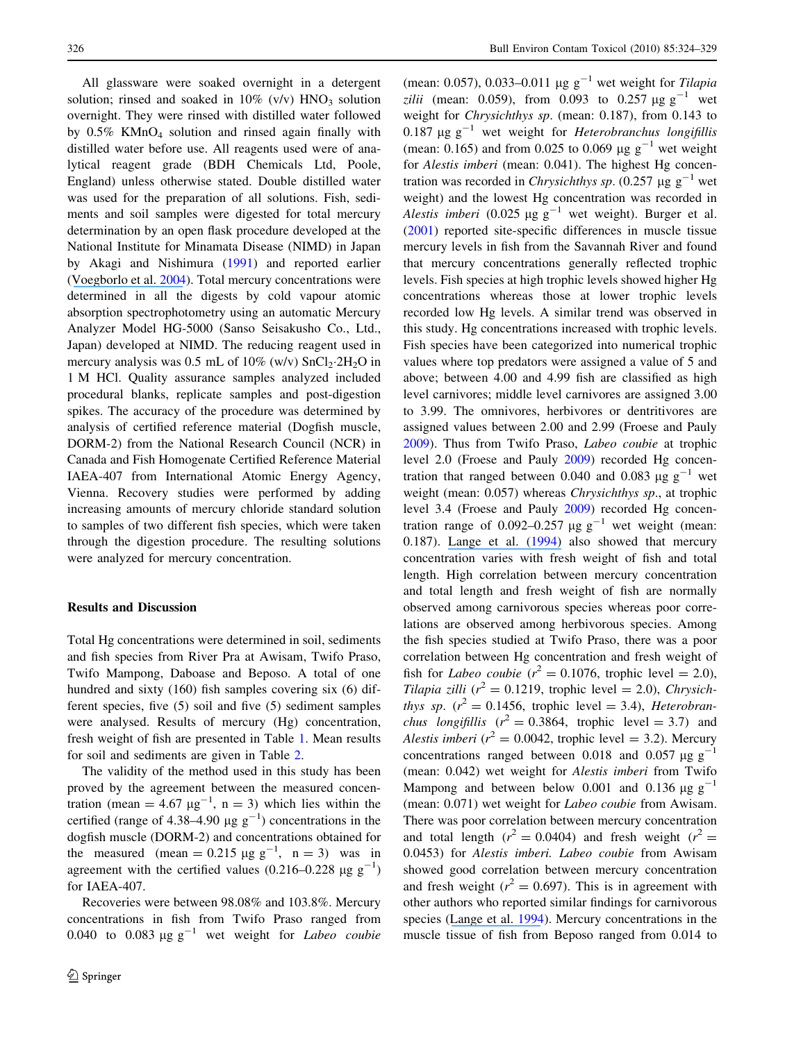All glassware were soaked overnight in a detergent solution; rinsed and soaked in  $10\%$  (v/v)  $HNO<sub>3</sub>$  solution overnight. They were rinsed with distilled water followed by  $0.5\%$  KMnO<sub>4</sub> solution and rinsed again finally with distilled water before use. All reagents used were of analytical reagent grade (BDH Chemicals Ltd, Poole, England) unless otherwise stated. Double distilled water was used for the preparation of all solutions. Fish, sediments and soil samples were digested for total mercury determination by an open flask procedure developed at the National Institute for Minamata Disease (NIMD) in Japan by Akagi and Nishimura [\(1991](#page-5-0)) and reported earlier ([Voegborlo et al.](https://www.researchgate.net/publication/8056688_Mercury_Concentrations_in_Fish_Species_from_the_Gulf_of_Guinea_Ghana?el=1_x_8&enrichId=rgreq-24a55058c4094e41b3c2b2fd0c4224e0-XXX&enrichSource=Y292ZXJQYWdlOzQ0ODA3NDMzO0FTOjM3NTAyNTM4ODUzOTkwNEAxNDY2NDI0NDI4NDcz) [2004](#page-6-0)). Total mercury concentrations were determined in all the digests by cold vapour atomic absorption spectrophotometry using an automatic Mercury Analyzer Model HG-5000 (Sanso Seisakusho Co., Ltd., Japan) developed at NIMD. The reducing reagent used in mercury analysis was  $0.5$  mL of  $10\%$  (w/v)  $SnCl_2·2H_2O$  in 1 M HCl. Quality assurance samples analyzed included procedural blanks, replicate samples and post-digestion spikes. The accuracy of the procedure was determined by analysis of certified reference material (Dogfish muscle, DORM-2) from the National Research Council (NCR) in Canada and Fish Homogenate Certified Reference Material IAEA-407 from International Atomic Energy Agency, Vienna. Recovery studies were performed by adding increasing amounts of mercury chloride standard solution to samples of two different fish species, which were taken through the digestion procedure. The resulting solutions were analyzed for mercury concentration.

### Results and Discussion

Total Hg concentrations were determined in soil, sediments and fish species from River Pra at Awisam, Twifo Praso, Twifo Mampong, Daboase and Beposo. A total of one hundred and sixty (160) fish samples covering six (6) different species, five (5) soil and five (5) sediment samples were analysed. Results of mercury (Hg) concentration, fresh weight of fish are presented in Table [1.](#page-4-0) Mean results for soil and sediments are given in Table [2](#page-4-0).

The validity of the method used in this study has been proved by the agreement between the measured concentration (mean = 4.67  $\mu$ g<sup>-1</sup>, n = 3) which lies within the certified (range of 4.38–4.90  $\mu$ g g<sup>-1</sup>) concentrations in the dogfish muscle (DORM-2) and concentrations obtained for the measured (mean =  $0.215 \text{ µg g}^{-1}$ , n = 3) was in agreement with the certified values  $(0.216 - 0.228 \mu g g^{-1})$ for IAEA-407.

Recoveries were between 98.08% and 103.8%. Mercury concentrations in fish from Twifo Praso ranged from 0.040 to 0.083  $\mu$ g g<sup>-1</sup> wet weight for *Labeo coubie* 

(mean: 0.057), 0.033–0.011  $\mu$ g g<sup>-1</sup> wet weight for *Tilapia zilii* (mean: 0.059), from 0.093 to 0.257  $\mu$ g g<sup>-1</sup> wet weight for *Chrysichthys sp.* (mean: 0.187), from 0.143 to 0.187  $\mu$ g g<sup>-1</sup> wet weight for *Heterobranchus longifillis* (mean: 0.165) and from 0.025 to 0.069  $\mu$ g g<sup>-1</sup> wet weight for Alestis imberi (mean: 0.041). The highest Hg concentration was recorded in Chrysichthys sp. (0.257 µg g<sup>-1</sup> wet weight) and the lowest Hg concentration was recorded in Alestis imberi (0.025 µg  $g^{-1}$  wet weight). Burger et al. [\(2001](#page-5-0)) reported site-specific differences in muscle tissue mercury levels in fish from the Savannah River and found that mercury concentrations generally reflected trophic levels. Fish species at high trophic levels showed higher Hg concentrations whereas those at lower trophic levels recorded low Hg levels. A similar trend was observed in this study. Hg concentrations increased with trophic levels. Fish species have been categorized into numerical trophic values where top predators were assigned a value of 5 and above; between 4.00 and 4.99 fish are classified as high level carnivores; middle level carnivores are assigned 3.00 to 3.99. The omnivores, herbivores or dentritivores are assigned values between 2.00 and 2.99 (Froese and Pauly [2009](#page-5-0)). Thus from Twifo Praso, Labeo coubie at trophic level 2.0 (Froese and Pauly [2009](#page-5-0)) recorded Hg concentration that ranged between 0.040 and 0.083  $\mu$ g g<sup>-1</sup> wet weight (mean: 0.057) whereas Chrysichthys sp., at trophic level 3.4 (Froese and Pauly [2009](#page-5-0)) recorded Hg concentration range of 0.092–0.257  $\mu$ g g<sup>-1</sup> wet weight (mean: 0.187). [Lange et al. \(](https://www.researchgate.net/publication/15388314_Mercury_accumulation_in_largemouth_bass_Micropterus_salmoides_in_a_Florida_Lake?el=1_x_8&enrichId=rgreq-24a55058c4094e41b3c2b2fd0c4224e0-XXX&enrichSource=Y292ZXJQYWdlOzQ0ODA3NDMzO0FTOjM3NTAyNTM4ODUzOTkwNEAxNDY2NDI0NDI4NDcz)[1994](#page-6-0)[\)](https://www.researchgate.net/publication/15388314_Mercury_accumulation_in_largemouth_bass_Micropterus_salmoides_in_a_Florida_Lake?el=1_x_8&enrichId=rgreq-24a55058c4094e41b3c2b2fd0c4224e0-XXX&enrichSource=Y292ZXJQYWdlOzQ0ODA3NDMzO0FTOjM3NTAyNTM4ODUzOTkwNEAxNDY2NDI0NDI4NDcz) also showed that mercury concentration varies with fresh weight of fish and total length. High correlation between mercury concentration and total length and fresh weight of fish are normally observed among carnivorous species whereas poor correlations are observed among herbivorous species. Among the fish species studied at Twifo Praso, there was a poor correlation between Hg concentration and fresh weight of fish for *Labeo coubie* ( $r^2 = 0.1076$ , trophic level = 2.0), Tilapia zilli ( $r^2 = 0.1219$ , trophic level = 2.0), Chrysich*thys sp.*  $(r^2 = 0.1456$ , trophic level = 3.4), *Heterobranchus longifillis* ( $r^2 = 0.3864$ , trophic level = 3.7) and Alestis imberi ( $r^2 = 0.0042$ , trophic level = 3.2). Mercury concentrations ranged between 0.018 and 0.057  $\mu$ g g<sup>-1</sup> (mean: 0.042) wet weight for Alestis imberi from Twifo Mampong and between below 0.001 and 0.136  $\mu$ g g<sup>-1</sup> (mean: 0.071) wet weight for Labeo coubie from Awisam. There was poor correlation between mercury concentration and total length ( $r^2 = 0.0404$ ) and fresh weight ( $r^2 =$ 0.0453) for Alestis imberi. Labeo coubie from Awisam showed good correlation between mercury concentration and fresh weight ( $r^2 = 0.697$ ). This is in agreement with other authors who reported similar findings for carnivorous species ([Lange et al.](https://www.researchgate.net/publication/15388314_Mercury_accumulation_in_largemouth_bass_Micropterus_salmoides_in_a_Florida_Lake?el=1_x_8&enrichId=rgreq-24a55058c4094e41b3c2b2fd0c4224e0-XXX&enrichSource=Y292ZXJQYWdlOzQ0ODA3NDMzO0FTOjM3NTAyNTM4ODUzOTkwNEAxNDY2NDI0NDI4NDcz) [1994](#page-6-0)). Mercury concentrations in the muscle tissue of fish from Beposo ranged from 0.014 to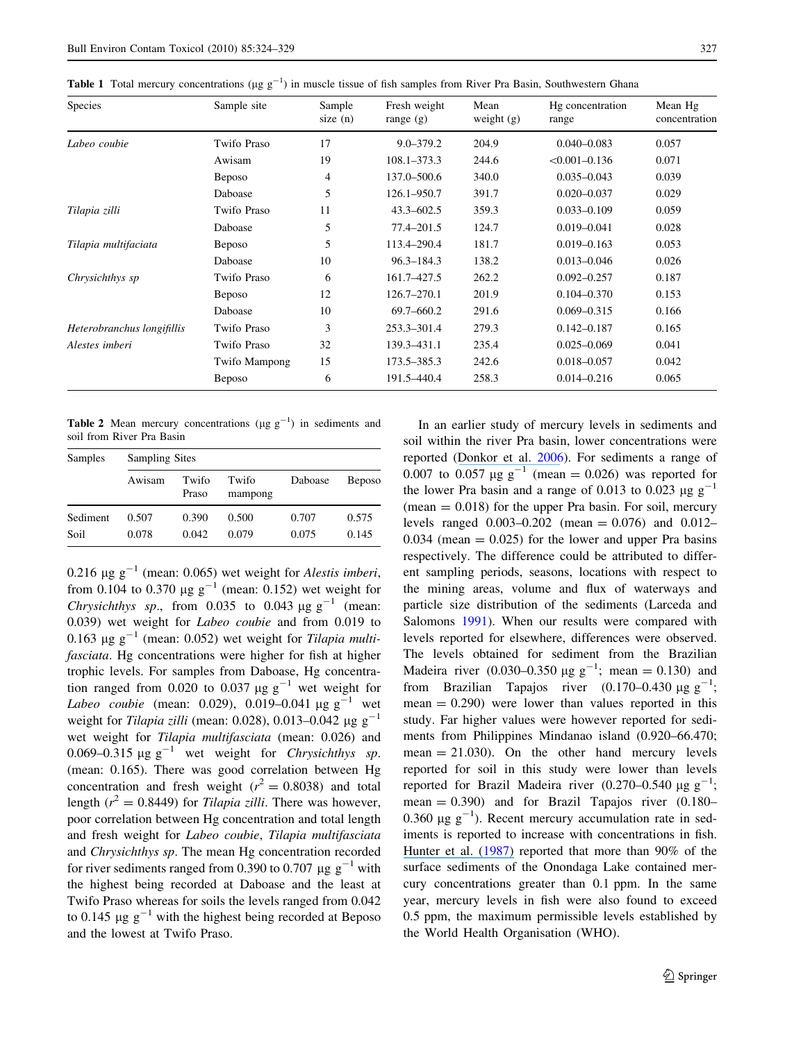<span id="page-4-0"></span>

|  |  | <b>Table 1</b> Total mercury concentrations ( $\mu g g^{-1}$ ) in muscle tissue of fish samples from River Pra Basin, Southwestern Ghana |  |  |  |  |  |  |  |  |  |  |  |
|--|--|------------------------------------------------------------------------------------------------------------------------------------------|--|--|--|--|--|--|--|--|--|--|--|
|--|--|------------------------------------------------------------------------------------------------------------------------------------------|--|--|--|--|--|--|--|--|--|--|--|

| Species                    | Sample site          | Sample<br>size $(n)$ | Fresh weight<br>range $(g)$ | Mean<br>weight $(g)$ | Hg concentration<br>range | Mean Hg<br>concentration |
|----------------------------|----------------------|----------------------|-----------------------------|----------------------|---------------------------|--------------------------|
| Labeo coubie               | Twifo Praso          | 17                   | $9.0 - 379.2$               | 204.9                | $0.040 - 0.083$           | 0.057                    |
|                            | Awisam               | 19                   | $108.1 - 373.3$             | 244.6                | $< 0.001 - 0.136$         | 0.071                    |
|                            | <b>Beposo</b>        | 4                    | 137.0–500.6                 | 340.0                | $0.035 - 0.043$           | 0.039                    |
|                            | Daboase              | 5                    | 126.1-950.7                 | 391.7                | $0.020 - 0.037$           | 0.029                    |
| Tilapia zilli              | Twifo Praso          | 11                   | $43.3 - 602.5$              | 359.3                | $0.033 - 0.109$           | 0.059                    |
|                            | Daboase              | 5                    | 77.4-201.5                  | 124.7                | $0.019 - 0.041$           | 0.028                    |
| Tilapia multifaciata       | <b>Beposo</b>        | 5                    | 113.4-290.4                 | 181.7                | $0.019 - 0.163$           | 0.053                    |
|                            | Daboase              | 10                   | $96.3 - 184.3$              | 138.2                | $0.013 - 0.046$           | 0.026                    |
| Chrysichthys sp            | Twifo Praso          | 6                    | 161.7-427.5                 | 262.2                | $0.092 - 0.257$           | 0.187                    |
|                            | <b>Beposo</b>        | 12                   | $126.7 - 270.1$             | 201.9                | $0.104 - 0.370$           | 0.153                    |
|                            | Daboase              | 10                   | 69.7-660.2                  | 291.6                | $0.069 - 0.315$           | 0.166                    |
| Heterobranchus longifillis | Twifo Praso          | 3                    | 253.3-301.4                 | 279.3                | $0.142 - 0.187$           | 0.165                    |
| Alestes imberi             | Twifo Praso          | 32                   | 139.3-431.1                 | 235.4                | $0.025 - 0.069$           | 0.041                    |
|                            | <b>Twifo Mampong</b> | 15                   | 173.5–385.3                 | 242.6                | $0.018 - 0.057$           | 0.042                    |
|                            | <b>Beposo</b>        | 6                    | 191.5-440.4                 | 258.3                | $0.014 - 0.216$           | 0.065                    |

**Table 2** Mean mercury concentrations ( $\mu$ g g<sup>-1</sup>) in sediments and soil from River Pra Basin

| Samples  | <b>Sampling Sites</b> |                |                  |         |               |  |  |  |  |  |
|----------|-----------------------|----------------|------------------|---------|---------------|--|--|--|--|--|
|          | Awisam                | Twifo<br>Praso | Twifo<br>mampong | Daboase | <b>Beposo</b> |  |  |  |  |  |
| Sediment | 0.507                 | 0.390          | 0.500            | 0.707   | 0.575         |  |  |  |  |  |
| Soil     | 0.078                 | 0.042          | 0.079            | 0.075   | 0.145         |  |  |  |  |  |

0.216  $\mu$ g g<sup>-1</sup> (mean: 0.065) wet weight for Alestis imberi, from  $0.104$  to  $0.370 \mu g g^{-1}$  (mean: 0.152) wet weight for Chrysichthys sp., from 0.035 to 0.043  $\mu$ g g<sup>-1</sup> (mean: 0.039) wet weight for Labeo coubie and from 0.019 to 0.163  $\mu$ g g<sup>-1</sup> (mean: 0.052) wet weight for Tilapia multifasciata. Hg concentrations were higher for fish at higher trophic levels. For samples from Daboase, Hg concentration ranged from 0.020 to 0.037  $\mu$ g g<sup>-1</sup> wet weight for Labeo coubie (mean: 0.029), 0.019–0.041  $\mu$ g g<sup>-1</sup> wet weight for Tilapia zilli (mean: 0.028), 0.013–0.042  $\mu$ g g<sup>-1</sup> wet weight for Tilapia multifasciata (mean: 0.026) and 0.069–0.315  $\mu$ g g<sup>-1</sup> wet weight for *Chrysichthys sp*. (mean: 0.165). There was good correlation between Hg concentration and fresh weight  $(r^2 = 0.8038)$  and total length ( $r^2 = 0.8449$ ) for *Tilapia zilli*. There was however, poor correlation between Hg concentration and total length and fresh weight for Labeo coubie, Tilapia multifasciata and Chrysichthys sp. The mean Hg concentration recorded for river sediments ranged from 0.390 to 0.707  $\mu$ g g<sup>-1</sup> with the highest being recorded at Daboase and the least at Twifo Praso whereas for soils the levels ranged from 0.042 to 0.145  $\mu$ g g<sup>-1</sup> with the highest being recorded at Beposo and the lowest at Twifo Praso.

In an earlier study of mercury levels in sediments and soil within the river Pra basin, lower concentrations were reported ([Donkor et al.](https://www.researchgate.net/publication/7523939_Mercury_in_different_environmental_compartments_of_the_Pra_River_Basin_Ghana?el=1_x_8&enrichId=rgreq-24a55058c4094e41b3c2b2fd0c4224e0-XXX&enrichSource=Y292ZXJQYWdlOzQ0ODA3NDMzO0FTOjM3NTAyNTM4ODUzOTkwNEAxNDY2NDI0NDI4NDcz) [2006\)](#page-5-0). For sediments a range of 0.007 to 0.057  $\mu$ g g<sup>-1</sup> (mean = 0.026) was reported for the lower Pra basin and a range of 0.013 to 0.023  $\mu$ g g<sup>-1</sup>  $(mean = 0.018)$  for the upper Pra basin. For soil, mercury levels ranged  $0.003-0.202$  (mean  $= 0.076$ ) and  $0.012 0.034$  (mean  $= 0.025$ ) for the lower and upper Pra basins respectively. The difference could be attributed to different sampling periods, seasons, locations with respect to the mining areas, volume and flux of waterways and particle size distribution of the sediments (Larceda and Salomons [1991](#page-6-0)). When our results were compared with levels reported for elsewhere, differences were observed. The levels obtained for sediment from the Brazilian Madeira river (0.030–0.350  $\mu$ g g<sup>-1</sup>; mean = 0.130) and from Brazilian Tapajos river  $(0.170-0.430 \text{ µg g}^{-1})$ ;  $mean = 0.290$  were lower than values reported in this study. Far higher values were however reported for sediments from Philippines Mindanao island (0.920–66.470; mean  $= 21.030$ . On the other hand mercury levels reported for soil in this study were lower than levels reported for Brazil Madeira river (0.270-0.540 µg  $g^{-1}$ ; mean  $= 0.390$ ) and for Brazil Tapajos river  $(0.180 -$ 0.360  $\mu$ g g<sup>-1</sup>). Recent mercury accumulation rate in sediments is reported to increase with concentrations in fish. [Hunter et al. \(](https://www.researchgate.net/publication/20045678_The_effects_of_polychlorinated_biphenyls_and_methylmercury_singly_and_in_combination_on_mink_II_Reproduction_and_kit_development?el=1_x_8&enrichId=rgreq-24a55058c4094e41b3c2b2fd0c4224e0-XXX&enrichSource=Y292ZXJQYWdlOzQ0ODA3NDMzO0FTOjM3NTAyNTM4ODUzOTkwNEAxNDY2NDI0NDI4NDcz)[1987](#page-5-0)[\)](https://www.researchgate.net/publication/20045678_The_effects_of_polychlorinated_biphenyls_and_methylmercury_singly_and_in_combination_on_mink_II_Reproduction_and_kit_development?el=1_x_8&enrichId=rgreq-24a55058c4094e41b3c2b2fd0c4224e0-XXX&enrichSource=Y292ZXJQYWdlOzQ0ODA3NDMzO0FTOjM3NTAyNTM4ODUzOTkwNEAxNDY2NDI0NDI4NDcz) reported that more than 90% of the surface sediments of the Onondaga Lake contained mercury concentrations greater than 0.1 ppm. In the same year, mercury levels in fish were also found to exceed 0.5 ppm, the maximum permissible levels established by the World Health Organisation (WHO).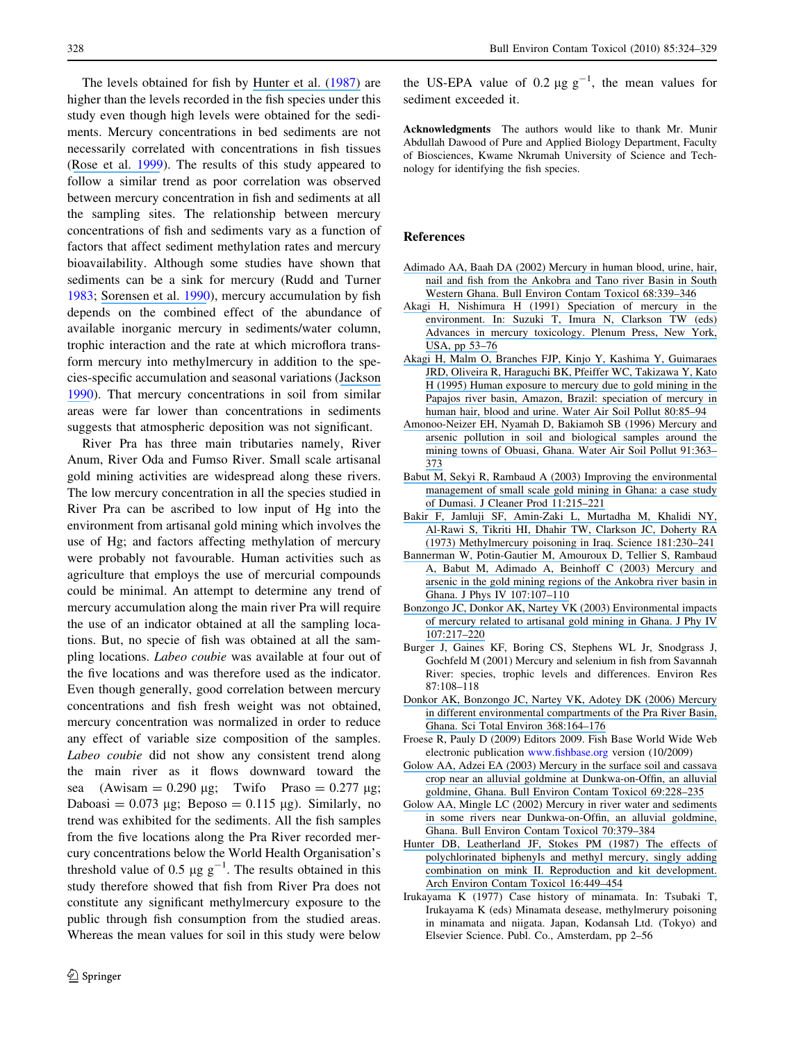<span id="page-5-0"></span>The levels obtained for fish by [Hunter et al. \(1987\)](https://www.researchgate.net/publication/20045678_The_effects_of_polychlorinated_biphenyls_and_methylmercury_singly_and_in_combination_on_mink_II_Reproduction_and_kit_development?el=1_x_8&enrichId=rgreq-24a55058c4094e41b3c2b2fd0c4224e0-XXX&enrichSource=Y292ZXJQYWdlOzQ0ODA3NDMzO0FTOjM3NTAyNTM4ODUzOTkwNEAxNDY2NDI0NDI4NDcz) are higher than the levels recorded in the fish species under this study even though high levels were obtained for the sediments. Mercury concentrations in bed sediments are not necessarily correlated with concentrations in fish tissues ([Rose et al.](https://www.researchgate.net/publication/227699458_Fish_Mercury_Distribution_in_Massachusetts_USA_Lakes?el=1_x_8&enrichId=rgreq-24a55058c4094e41b3c2b2fd0c4224e0-XXX&enrichSource=Y292ZXJQYWdlOzQ0ODA3NDMzO0FTOjM3NTAyNTM4ODUzOTkwNEAxNDY2NDI0NDI4NDcz) [1999\)](#page-6-0). The results of this study appeared to follow a similar trend as poor correlation was observed between mercury concentration in fish and sediments at all the sampling sites. The relationship between mercury concentrations of fish and sediments vary as a function of factors that affect sediment methylation rates and mercury bioavailability. Although some studies have shown that sediments can be a sink for mercury (Rudd and Turner [1983;](#page-6-0) [Sorensen et al.](https://www.researchgate.net/publication/231276913_Airborne_Mercury_Deposition_and_Watershed_Characteristics_in_Relation_to_Mercury_Concentrations_in_Water_Sediments_Plankton_and_Fish_of_Eighty_Northern_Minnesota_Lakes?el=1_x_8&enrichId=rgreq-24a55058c4094e41b3c2b2fd0c4224e0-XXX&enrichSource=Y292ZXJQYWdlOzQ0ODA3NDMzO0FTOjM3NTAyNTM4ODUzOTkwNEAxNDY2NDI0NDI4NDcz) [1990](#page-6-0)), mercury accumulation by fish depends on the combined effect of the abundance of available inorganic mercury in sediments/water column, trophic interaction and the rate at which microflora transform mercury into methylmercury in addition to the species-specific accumulation and seasonal variations ([Jackson](https://www.researchgate.net/publication/237183798_Biological_and_Environmental_Control_of_Mercury_Accumulation_by_Fish_in_Lakes_and_Reservoirs_of_Northern_Manitoba_Canada?el=1_x_8&enrichId=rgreq-24a55058c4094e41b3c2b2fd0c4224e0-XXX&enrichSource=Y292ZXJQYWdlOzQ0ODA3NDMzO0FTOjM3NTAyNTM4ODUzOTkwNEAxNDY2NDI0NDI4NDcz) [1990\)](#page-6-0). That mercury concentrations in soil from similar areas were far lower than concentrations in sediments suggests that atmospheric deposition was not significant.

River Pra has three main tributaries namely, River Anum, River Oda and Fumso River. Small scale artisanal gold mining activities are widespread along these rivers. The low mercury concentration in all the species studied in River Pra can be ascribed to low input of Hg into the environment from artisanal gold mining which involves the use of Hg; and factors affecting methylation of mercury were probably not favourable. Human activities such as agriculture that employs the use of mercurial compounds could be minimal. An attempt to determine any trend of mercury accumulation along the main river Pra will require the use of an indicator obtained at all the sampling locations. But, no specie of fish was obtained at all the sampling locations. Labeo coubie was available at four out of the five locations and was therefore used as the indicator. Even though generally, good correlation between mercury concentrations and fish fresh weight was not obtained, mercury concentration was normalized in order to reduce any effect of variable size composition of the samples. Labeo coubie did not show any consistent trend along the main river as it flows downward toward the sea (Awisam =  $0.290 \text{ µg}$ ; Twifo Praso =  $0.277 \text{ µg}$ ; Daboasi =  $0.073 \mu$ g; Beposo =  $0.115 \mu$ g). Similarly, no trend was exhibited for the sediments. All the fish samples from the five locations along the Pra River recorded mercury concentrations below the World Health Organisation's threshold value of 0.5  $\mu$ g g<sup>-1</sup>. The results obtained in this study therefore showed that fish from River Pra does not constitute any significant methylmercury exposure to the public through fish consumption from the studied areas. Whereas the mean values for soil in this study were below

the US-EPA value of 0.2  $\mu$ g g<sup>-1</sup>, the mean values for sediment exceeded it.

Acknowledgments The authors would like to thank Mr. Munir Abdullah Dawood of Pure and Applied Biology Department, Faculty of Biosciences, Kwame Nkrumah University of Science and Technology for identifying the fish species.

#### References

- [Adimado AA, Baah DA \(2002\) Mercury in human blood, urine, hair,](https://www.researchgate.net/publication/11376379_Mercury_in_Human_Blood_Urine_Hair_Nail_and_Fish_from_the_Ankobra_and_Tano_River_Basins_in_Southwestern_Ghana?el=1_x_8&enrichId=rgreq-24a55058c4094e41b3c2b2fd0c4224e0-XXX&enrichSource=Y292ZXJQYWdlOzQ0ODA3NDMzO0FTOjM3NTAyNTM4ODUzOTkwNEAxNDY2NDI0NDI4NDcz) [nail and fish from the Ankobra and Tano river Basin in South](https://www.researchgate.net/publication/11376379_Mercury_in_Human_Blood_Urine_Hair_Nail_and_Fish_from_the_Ankobra_and_Tano_River_Basins_in_Southwestern_Ghana?el=1_x_8&enrichId=rgreq-24a55058c4094e41b3c2b2fd0c4224e0-XXX&enrichSource=Y292ZXJQYWdlOzQ0ODA3NDMzO0FTOjM3NTAyNTM4ODUzOTkwNEAxNDY2NDI0NDI4NDcz) [Western Ghana. Bull Environ Contam Toxicol 68:339–346](https://www.researchgate.net/publication/11376379_Mercury_in_Human_Blood_Urine_Hair_Nail_and_Fish_from_the_Ankobra_and_Tano_River_Basins_in_Southwestern_Ghana?el=1_x_8&enrichId=rgreq-24a55058c4094e41b3c2b2fd0c4224e0-XXX&enrichSource=Y292ZXJQYWdlOzQ0ODA3NDMzO0FTOjM3NTAyNTM4ODUzOTkwNEAxNDY2NDI0NDI4NDcz)
- [Akagi H, Nishimura H \(1991\) Speciation of mercury in the](https://www.researchgate.net/publication/289787765_Speciation_of_Mercury_in_the_Environment?el=1_x_8&enrichId=rgreq-24a55058c4094e41b3c2b2fd0c4224e0-XXX&enrichSource=Y292ZXJQYWdlOzQ0ODA3NDMzO0FTOjM3NTAyNTM4ODUzOTkwNEAxNDY2NDI0NDI4NDcz) [environment. In: Suzuki T, Imura N, Clarkson TW \(eds\)](https://www.researchgate.net/publication/289787765_Speciation_of_Mercury_in_the_Environment?el=1_x_8&enrichId=rgreq-24a55058c4094e41b3c2b2fd0c4224e0-XXX&enrichSource=Y292ZXJQYWdlOzQ0ODA3NDMzO0FTOjM3NTAyNTM4ODUzOTkwNEAxNDY2NDI0NDI4NDcz) [Advances in mercury toxicology. Plenum Press, New York,](https://www.researchgate.net/publication/289787765_Speciation_of_Mercury_in_the_Environment?el=1_x_8&enrichId=rgreq-24a55058c4094e41b3c2b2fd0c4224e0-XXX&enrichSource=Y292ZXJQYWdlOzQ0ODA3NDMzO0FTOjM3NTAyNTM4ODUzOTkwNEAxNDY2NDI0NDI4NDcz) [USA, pp 53–76](https://www.researchgate.net/publication/289787765_Speciation_of_Mercury_in_the_Environment?el=1_x_8&enrichId=rgreq-24a55058c4094e41b3c2b2fd0c4224e0-XXX&enrichSource=Y292ZXJQYWdlOzQ0ODA3NDMzO0FTOjM3NTAyNTM4ODUzOTkwNEAxNDY2NDI0NDI4NDcz)
- [Akagi H, Malm O, Branches FJP, Kinjo Y, Kashima Y, Guimaraes](https://www.researchgate.net/publication/226596177_Human_Exposure_to_Mercury_Due_to_Goldmining_in_the_Tapajos_River_Basin_Amazon_Brazil_Speciation_of_Mercury_in_Human_Hair_Blood_and_Urine?el=1_x_8&enrichId=rgreq-24a55058c4094e41b3c2b2fd0c4224e0-XXX&enrichSource=Y292ZXJQYWdlOzQ0ODA3NDMzO0FTOjM3NTAyNTM4ODUzOTkwNEAxNDY2NDI0NDI4NDcz) [JRD, Oliveira R, Haraguchi BK, Pfeiffer WC, Takizawa Y, Kato](https://www.researchgate.net/publication/226596177_Human_Exposure_to_Mercury_Due_to_Goldmining_in_the_Tapajos_River_Basin_Amazon_Brazil_Speciation_of_Mercury_in_Human_Hair_Blood_and_Urine?el=1_x_8&enrichId=rgreq-24a55058c4094e41b3c2b2fd0c4224e0-XXX&enrichSource=Y292ZXJQYWdlOzQ0ODA3NDMzO0FTOjM3NTAyNTM4ODUzOTkwNEAxNDY2NDI0NDI4NDcz) [H \(1995\) Human exposure to mercury due to gold mining in the](https://www.researchgate.net/publication/226596177_Human_Exposure_to_Mercury_Due_to_Goldmining_in_the_Tapajos_River_Basin_Amazon_Brazil_Speciation_of_Mercury_in_Human_Hair_Blood_and_Urine?el=1_x_8&enrichId=rgreq-24a55058c4094e41b3c2b2fd0c4224e0-XXX&enrichSource=Y292ZXJQYWdlOzQ0ODA3NDMzO0FTOjM3NTAyNTM4ODUzOTkwNEAxNDY2NDI0NDI4NDcz) [Papajos river basin, Amazon, Brazil: speciation of mercury in](https://www.researchgate.net/publication/226596177_Human_Exposure_to_Mercury_Due_to_Goldmining_in_the_Tapajos_River_Basin_Amazon_Brazil_Speciation_of_Mercury_in_Human_Hair_Blood_and_Urine?el=1_x_8&enrichId=rgreq-24a55058c4094e41b3c2b2fd0c4224e0-XXX&enrichSource=Y292ZXJQYWdlOzQ0ODA3NDMzO0FTOjM3NTAyNTM4ODUzOTkwNEAxNDY2NDI0NDI4NDcz) [human hair, blood and urine. Water Air Soil Pollut 80:85–94](https://www.researchgate.net/publication/226596177_Human_Exposure_to_Mercury_Due_to_Goldmining_in_the_Tapajos_River_Basin_Amazon_Brazil_Speciation_of_Mercury_in_Human_Hair_Blood_and_Urine?el=1_x_8&enrichId=rgreq-24a55058c4094e41b3c2b2fd0c4224e0-XXX&enrichSource=Y292ZXJQYWdlOzQ0ODA3NDMzO0FTOjM3NTAyNTM4ODUzOTkwNEAxNDY2NDI0NDI4NDcz)
- [Amonoo-Neizer EH, Nyamah D, Bakiamoh SB \(1996\) Mercury and](https://www.researchgate.net/publication/226839051_Mercury_and_arsenic_pollution_in_soil_and_biological_samples_around_the_mining_town_of_Obuasi_Ghana?el=1_x_8&enrichId=rgreq-24a55058c4094e41b3c2b2fd0c4224e0-XXX&enrichSource=Y292ZXJQYWdlOzQ0ODA3NDMzO0FTOjM3NTAyNTM4ODUzOTkwNEAxNDY2NDI0NDI4NDcz) [arsenic pollution in soil and biological samples around the](https://www.researchgate.net/publication/226839051_Mercury_and_arsenic_pollution_in_soil_and_biological_samples_around_the_mining_town_of_Obuasi_Ghana?el=1_x_8&enrichId=rgreq-24a55058c4094e41b3c2b2fd0c4224e0-XXX&enrichSource=Y292ZXJQYWdlOzQ0ODA3NDMzO0FTOjM3NTAyNTM4ODUzOTkwNEAxNDY2NDI0NDI4NDcz) [mining towns of Obuasi, Ghana. Water Air Soil Pollut 91:363–](https://www.researchgate.net/publication/226839051_Mercury_and_arsenic_pollution_in_soil_and_biological_samples_around_the_mining_town_of_Obuasi_Ghana?el=1_x_8&enrichId=rgreq-24a55058c4094e41b3c2b2fd0c4224e0-XXX&enrichSource=Y292ZXJQYWdlOzQ0ODA3NDMzO0FTOjM3NTAyNTM4ODUzOTkwNEAxNDY2NDI0NDI4NDcz) [373](https://www.researchgate.net/publication/226839051_Mercury_and_arsenic_pollution_in_soil_and_biological_samples_around_the_mining_town_of_Obuasi_Ghana?el=1_x_8&enrichId=rgreq-24a55058c4094e41b3c2b2fd0c4224e0-XXX&enrichSource=Y292ZXJQYWdlOzQ0ODA3NDMzO0FTOjM3NTAyNTM4ODUzOTkwNEAxNDY2NDI0NDI4NDcz)
- [Babut M, Sekyi R, Rambaud A \(2003\) Improving the environmental](https://www.researchgate.net/publication/224881927_Improving_the_environmental_management_of_small-scale_gold_mining_in_Ghana_A_case_study_of_Dumasi?el=1_x_8&enrichId=rgreq-24a55058c4094e41b3c2b2fd0c4224e0-XXX&enrichSource=Y292ZXJQYWdlOzQ0ODA3NDMzO0FTOjM3NTAyNTM4ODUzOTkwNEAxNDY2NDI0NDI4NDcz) [management of small scale gold mining in Ghana: a case study](https://www.researchgate.net/publication/224881927_Improving_the_environmental_management_of_small-scale_gold_mining_in_Ghana_A_case_study_of_Dumasi?el=1_x_8&enrichId=rgreq-24a55058c4094e41b3c2b2fd0c4224e0-XXX&enrichSource=Y292ZXJQYWdlOzQ0ODA3NDMzO0FTOjM3NTAyNTM4ODUzOTkwNEAxNDY2NDI0NDI4NDcz) [of Dumasi. J Cleaner Prod 11:215–221](https://www.researchgate.net/publication/224881927_Improving_the_environmental_management_of_small-scale_gold_mining_in_Ghana_A_case_study_of_Dumasi?el=1_x_8&enrichId=rgreq-24a55058c4094e41b3c2b2fd0c4224e0-XXX&enrichSource=Y292ZXJQYWdlOzQ0ODA3NDMzO0FTOjM3NTAyNTM4ODUzOTkwNEAxNDY2NDI0NDI4NDcz)
- [Bakir F, Jamluji SF, Amin-Zaki L, Murtadha M, Khalidi NY,](https://www.researchgate.net/publication/18449547_Methylmercury_Poisoning_in_Iraq?el=1_x_8&enrichId=rgreq-24a55058c4094e41b3c2b2fd0c4224e0-XXX&enrichSource=Y292ZXJQYWdlOzQ0ODA3NDMzO0FTOjM3NTAyNTM4ODUzOTkwNEAxNDY2NDI0NDI4NDcz) [Al-Rawi S, Tikriti HI, Dhahir TW, Clarkson JC, Doherty RA](https://www.researchgate.net/publication/18449547_Methylmercury_Poisoning_in_Iraq?el=1_x_8&enrichId=rgreq-24a55058c4094e41b3c2b2fd0c4224e0-XXX&enrichSource=Y292ZXJQYWdlOzQ0ODA3NDMzO0FTOjM3NTAyNTM4ODUzOTkwNEAxNDY2NDI0NDI4NDcz) [\(1973\) Methylmercury poisoning in Iraq. Science 181:230–241](https://www.researchgate.net/publication/18449547_Methylmercury_Poisoning_in_Iraq?el=1_x_8&enrichId=rgreq-24a55058c4094e41b3c2b2fd0c4224e0-XXX&enrichSource=Y292ZXJQYWdlOzQ0ODA3NDMzO0FTOjM3NTAyNTM4ODUzOTkwNEAxNDY2NDI0NDI4NDcz)
- [Bannerman W, Potin-Gautier M, Amouroux D, Tellier S, Rambaud](https://www.researchgate.net/publication/215898701_Mercury_and_arsenic_in_the_gold_mining_regions_of_the_Ankobra_River_basin_in_Ghana?el=1_x_8&enrichId=rgreq-24a55058c4094e41b3c2b2fd0c4224e0-XXX&enrichSource=Y292ZXJQYWdlOzQ0ODA3NDMzO0FTOjM3NTAyNTM4ODUzOTkwNEAxNDY2NDI0NDI4NDcz) [A, Babut M, Adimado A, Beinhoff C \(2003\) Mercury and](https://www.researchgate.net/publication/215898701_Mercury_and_arsenic_in_the_gold_mining_regions_of_the_Ankobra_River_basin_in_Ghana?el=1_x_8&enrichId=rgreq-24a55058c4094e41b3c2b2fd0c4224e0-XXX&enrichSource=Y292ZXJQYWdlOzQ0ODA3NDMzO0FTOjM3NTAyNTM4ODUzOTkwNEAxNDY2NDI0NDI4NDcz) [arsenic in the gold mining regions of the Ankobra river basin in](https://www.researchgate.net/publication/215898701_Mercury_and_arsenic_in_the_gold_mining_regions_of_the_Ankobra_River_basin_in_Ghana?el=1_x_8&enrichId=rgreq-24a55058c4094e41b3c2b2fd0c4224e0-XXX&enrichSource=Y292ZXJQYWdlOzQ0ODA3NDMzO0FTOjM3NTAyNTM4ODUzOTkwNEAxNDY2NDI0NDI4NDcz) [Ghana. J Phys IV 107:107–110](https://www.researchgate.net/publication/215898701_Mercury_and_arsenic_in_the_gold_mining_regions_of_the_Ankobra_River_basin_in_Ghana?el=1_x_8&enrichId=rgreq-24a55058c4094e41b3c2b2fd0c4224e0-XXX&enrichSource=Y292ZXJQYWdlOzQ0ODA3NDMzO0FTOjM3NTAyNTM4ODUzOTkwNEAxNDY2NDI0NDI4NDcz)
- [Bonzongo JC, Donkor AK, Nartey VK \(2003\) Environmental impacts](https://www.researchgate.net/publication/253120479_Environmental_impacts_of_mercury_related_to_artisanal_gold_mining_in_Ghana?el=1_x_8&enrichId=rgreq-24a55058c4094e41b3c2b2fd0c4224e0-XXX&enrichSource=Y292ZXJQYWdlOzQ0ODA3NDMzO0FTOjM3NTAyNTM4ODUzOTkwNEAxNDY2NDI0NDI4NDcz) [of mercury related to artisanal gold mining in Ghana. J Phy IV](https://www.researchgate.net/publication/253120479_Environmental_impacts_of_mercury_related_to_artisanal_gold_mining_in_Ghana?el=1_x_8&enrichId=rgreq-24a55058c4094e41b3c2b2fd0c4224e0-XXX&enrichSource=Y292ZXJQYWdlOzQ0ODA3NDMzO0FTOjM3NTAyNTM4ODUzOTkwNEAxNDY2NDI0NDI4NDcz) [107:217–220](https://www.researchgate.net/publication/253120479_Environmental_impacts_of_mercury_related_to_artisanal_gold_mining_in_Ghana?el=1_x_8&enrichId=rgreq-24a55058c4094e41b3c2b2fd0c4224e0-XXX&enrichSource=Y292ZXJQYWdlOzQ0ODA3NDMzO0FTOjM3NTAyNTM4ODUzOTkwNEAxNDY2NDI0NDI4NDcz)
- Burger J, Gaines KF, Boring CS, Stephens WL Jr, Snodgrass J, Gochfeld M (2001) Mercury and selenium in fish from Savannah River: species, trophic levels and differences. Environ Res 87:108–118
- [Donkor AK, Bonzongo JC, Nartey VK, Adotey DK \(2006\) Mercury](https://www.researchgate.net/publication/7523939_Mercury_in_different_environmental_compartments_of_the_Pra_River_Basin_Ghana?el=1_x_8&enrichId=rgreq-24a55058c4094e41b3c2b2fd0c4224e0-XXX&enrichSource=Y292ZXJQYWdlOzQ0ODA3NDMzO0FTOjM3NTAyNTM4ODUzOTkwNEAxNDY2NDI0NDI4NDcz) [in different environmental compartments of the Pra River Basin,](https://www.researchgate.net/publication/7523939_Mercury_in_different_environmental_compartments_of_the_Pra_River_Basin_Ghana?el=1_x_8&enrichId=rgreq-24a55058c4094e41b3c2b2fd0c4224e0-XXX&enrichSource=Y292ZXJQYWdlOzQ0ODA3NDMzO0FTOjM3NTAyNTM4ODUzOTkwNEAxNDY2NDI0NDI4NDcz) [Ghana. Sci Total Environ 368:164–176](https://www.researchgate.net/publication/7523939_Mercury_in_different_environmental_compartments_of_the_Pra_River_Basin_Ghana?el=1_x_8&enrichId=rgreq-24a55058c4094e41b3c2b2fd0c4224e0-XXX&enrichSource=Y292ZXJQYWdlOzQ0ODA3NDMzO0FTOjM3NTAyNTM4ODUzOTkwNEAxNDY2NDI0NDI4NDcz)
- Froese R, Pauly D (2009) Editors 2009. Fish Base World Wide Web electronic publication [www.fishbase.org](http://www.fishbase.org) version (10/2009)
- [Golow AA, Adzei EA \(2003\) Mercury in the surface soil and cassava](https://www.researchgate.net/publication/11270202_Mercury_in_Surface_Soil_and_Cassava_Crop_Near_an_Alluvial_Goldmine_at_Dunkwa-on-Offin_Ghana?el=1_x_8&enrichId=rgreq-24a55058c4094e41b3c2b2fd0c4224e0-XXX&enrichSource=Y292ZXJQYWdlOzQ0ODA3NDMzO0FTOjM3NTAyNTM4ODUzOTkwNEAxNDY2NDI0NDI4NDcz) [crop near an alluvial goldmine at Dunkwa-on-Offin, an alluvial](https://www.researchgate.net/publication/11270202_Mercury_in_Surface_Soil_and_Cassava_Crop_Near_an_Alluvial_Goldmine_at_Dunkwa-on-Offin_Ghana?el=1_x_8&enrichId=rgreq-24a55058c4094e41b3c2b2fd0c4224e0-XXX&enrichSource=Y292ZXJQYWdlOzQ0ODA3NDMzO0FTOjM3NTAyNTM4ODUzOTkwNEAxNDY2NDI0NDI4NDcz) [goldmine, Ghana. Bull Environ Contam Toxicol 69:228–235](https://www.researchgate.net/publication/11270202_Mercury_in_Surface_Soil_and_Cassava_Crop_Near_an_Alluvial_Goldmine_at_Dunkwa-on-Offin_Ghana?el=1_x_8&enrichId=rgreq-24a55058c4094e41b3c2b2fd0c4224e0-XXX&enrichSource=Y292ZXJQYWdlOzQ0ODA3NDMzO0FTOjM3NTAyNTM4ODUzOTkwNEAxNDY2NDI0NDI4NDcz)
- [Golow AA, Mingle LC \(2002\) Mercury in river water and sediments](https://www.researchgate.net/publication/10936206_Mercury_in_River_Water_and_Sediments_in_Some_Rivers_near_Dunkwa-On-Offin_an_Alluvial_Goldmine_Ghana?el=1_x_8&enrichId=rgreq-24a55058c4094e41b3c2b2fd0c4224e0-XXX&enrichSource=Y292ZXJQYWdlOzQ0ODA3NDMzO0FTOjM3NTAyNTM4ODUzOTkwNEAxNDY2NDI0NDI4NDcz) [in some rivers near Dunkwa-on-Offin, an alluvial goldmine,](https://www.researchgate.net/publication/10936206_Mercury_in_River_Water_and_Sediments_in_Some_Rivers_near_Dunkwa-On-Offin_an_Alluvial_Goldmine_Ghana?el=1_x_8&enrichId=rgreq-24a55058c4094e41b3c2b2fd0c4224e0-XXX&enrichSource=Y292ZXJQYWdlOzQ0ODA3NDMzO0FTOjM3NTAyNTM4ODUzOTkwNEAxNDY2NDI0NDI4NDcz) [Ghana. Bull Environ Contam Toxicol 70:379–384](https://www.researchgate.net/publication/10936206_Mercury_in_River_Water_and_Sediments_in_Some_Rivers_near_Dunkwa-On-Offin_an_Alluvial_Goldmine_Ghana?el=1_x_8&enrichId=rgreq-24a55058c4094e41b3c2b2fd0c4224e0-XXX&enrichSource=Y292ZXJQYWdlOzQ0ODA3NDMzO0FTOjM3NTAyNTM4ODUzOTkwNEAxNDY2NDI0NDI4NDcz)
- [Hunter DB, Leatherland JF, Stokes PM \(1987\) The effects of](https://www.researchgate.net/publication/20045678_The_effects_of_polychlorinated_biphenyls_and_methylmercury_singly_and_in_combination_on_mink_II_Reproduction_and_kit_development?el=1_x_8&enrichId=rgreq-24a55058c4094e41b3c2b2fd0c4224e0-XXX&enrichSource=Y292ZXJQYWdlOzQ0ODA3NDMzO0FTOjM3NTAyNTM4ODUzOTkwNEAxNDY2NDI0NDI4NDcz) [polychlorinated biphenyls and methyl mercury, singly adding](https://www.researchgate.net/publication/20045678_The_effects_of_polychlorinated_biphenyls_and_methylmercury_singly_and_in_combination_on_mink_II_Reproduction_and_kit_development?el=1_x_8&enrichId=rgreq-24a55058c4094e41b3c2b2fd0c4224e0-XXX&enrichSource=Y292ZXJQYWdlOzQ0ODA3NDMzO0FTOjM3NTAyNTM4ODUzOTkwNEAxNDY2NDI0NDI4NDcz) [combination on mink II. Reproduction and kit development.](https://www.researchgate.net/publication/20045678_The_effects_of_polychlorinated_biphenyls_and_methylmercury_singly_and_in_combination_on_mink_II_Reproduction_and_kit_development?el=1_x_8&enrichId=rgreq-24a55058c4094e41b3c2b2fd0c4224e0-XXX&enrichSource=Y292ZXJQYWdlOzQ0ODA3NDMzO0FTOjM3NTAyNTM4ODUzOTkwNEAxNDY2NDI0NDI4NDcz) [Arch Environ Contam Toxicol 16:449–454](https://www.researchgate.net/publication/20045678_The_effects_of_polychlorinated_biphenyls_and_methylmercury_singly_and_in_combination_on_mink_II_Reproduction_and_kit_development?el=1_x_8&enrichId=rgreq-24a55058c4094e41b3c2b2fd0c4224e0-XXX&enrichSource=Y292ZXJQYWdlOzQ0ODA3NDMzO0FTOjM3NTAyNTM4ODUzOTkwNEAxNDY2NDI0NDI4NDcz)
- Irukayama K (1977) Case history of minamata. In: Tsubaki T, Irukayama K (eds) Minamata desease, methylmerury poisoning in minamata and niigata. Japan, Kodansah Ltd. (Tokyo) and Elsevier Science. Publ. Co., Amsterdam, pp 2–56